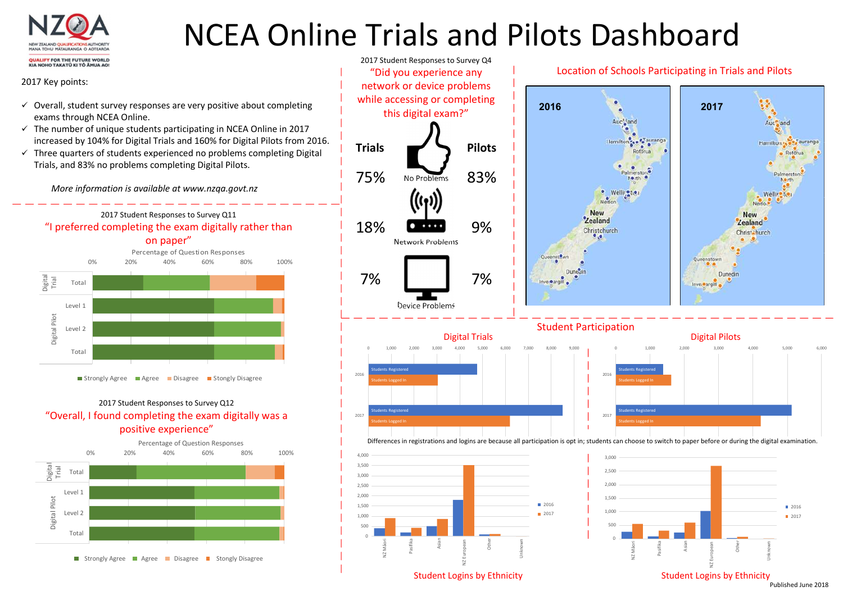

## NCEA Online Trials and Pilots Dashboard

### 2017 Key points:

- $\checkmark$  Overall, student survey responses are very positive about completing exams through NCEA Online.
- $\checkmark$  The number of unique students participating in NCEA Online in 2017 increased by 104% for Digital Trials and 160% for Digital Pilots from 2016.
- $\checkmark$  Three quarters of students experienced no problems completing Digital Trials, and 83% no problems completing Digital Pilots.

More information is available at www.nzqa.govt.nz





## 2017 Student Responses to Survey Q12 "Overall, I found completing the exam digitally was a positive experience"